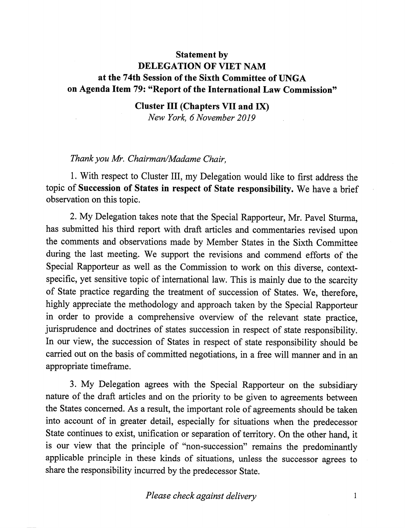## Statement by DELEGATION OF VIET NAM at the 74th Session of the Sixth Committee of UNGA on Agenda Item 79: "Report of the International Law Commission"

Cluster III (Chapters VII and IX) New York, 6 November 2019

## Thank you Mr. Chairman/Madame Chair,

1. With respect to Cluster III, my Delegation would like to first address the topic of Succession of States in respect of State responsibility. We have a brief observation on this topic.

2. My Delegation takes note that the Special Rapporteur, Mr. Pavel Sturma, has submitted his third report with draft articles and commentaries revised upon the comments and observations made by Member States in the Sixth Committee during the last meeting. We support the revisions and commend efforts of the Special Rapporteur as well as the Commission to work on this diverse, contextspecific, yet sensitive topic of international law. This is mainly due to the scarcity of State practice regarding the treatment of succession of States. We, therefore, highly appreciate the methodology and approach taken by the Special Rapporteur in order to provide a comprehensive overview of the relevant state practice, jurisprudence and doctrines of states succession in respect of state responsibility. In our view, the succession of States in respect of state responsibility should be carried out on the basis of committed negotiations, in a free will manner and in an appropriate timeframe.

3. My Delegation agrees with the Special Rapporteur on the subsidiary nature of the draft articles and on the priority to be given to agreements between the States concerned. As a result, the important role of agreements should be taken into account of in greater detail, especially for situations when the predecessor State continues to exist, unification or separation of territory. On the other hand, it is our view that the principle of "non-succession" remains the predominantly applicable principle in these kinds of situations, unless the successor agrees to share the responsibility incurred by the predecessor State.